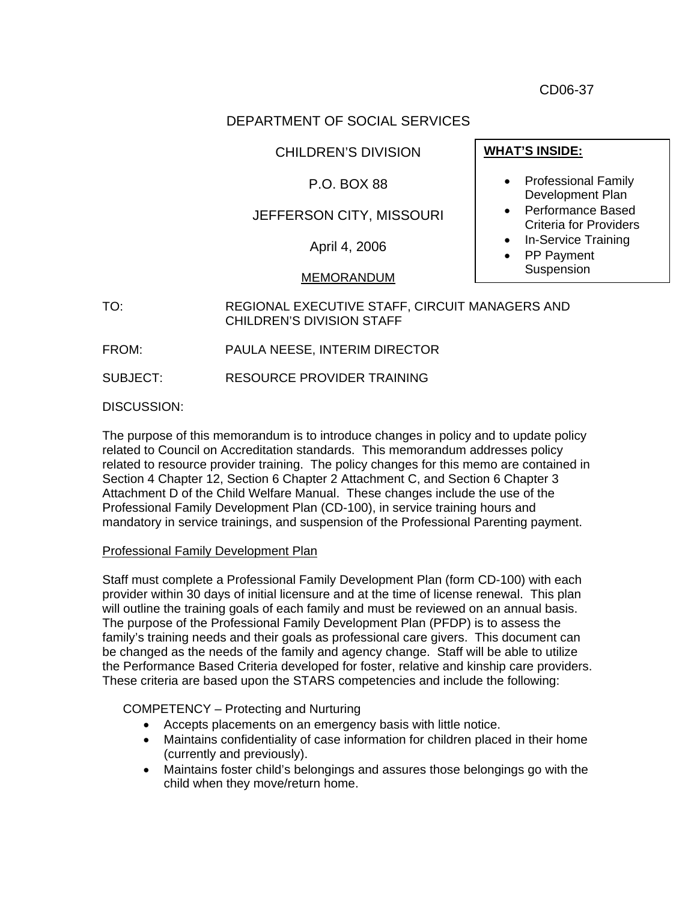CD06-37

## DEPARTMENT OF SOCIAL SERVICES

CHILDREN'S DIVISION

## P.O. BOX 88

# JEFFERSON CITY, MISSOURI

April 4, 2006

### MEMORANDUM

# TO: REGIONAL EXECUTIVE STAFF, CIRCUIT MANAGERS AND CHILDREN'S DIVISION STAFF

FROM: PAULA NEESE, INTERIM DIRECTOR

SUBJECT: RESOURCE PROVIDER TRAINING

DISCUSSION:

The purpose of this memorandum is to introduce changes in policy and to update policy related to Council on Accreditation standards. This memorandum addresses policy related to resource provider training. The policy changes for this memo are contained in Section 4 Chapter 12, Section 6 Chapter 2 Attachment C, and Section 6 Chapter 3 Attachment D of the Child Welfare Manual. These changes include the use of the Professional Family Development Plan (CD-100), in service training hours and mandatory in service trainings, and suspension of the Professional Parenting payment.

### Professional Family Development Plan

Staff must complete a Professional Family Development Plan (form CD-100) with each provider within 30 days of initial licensure and at the time of license renewal. This plan will outline the training goals of each family and must be reviewed on an annual basis. The purpose of the Professional Family Development Plan (PFDP) is to assess the family's training needs and their goals as professional care givers. This document can be changed as the needs of the family and agency change. Staff will be able to utilize the Performance Based Criteria developed for foster, relative and kinship care providers. These criteria are based upon the STARS competencies and include the following:

### COMPETENCY – Protecting and Nurturing

- Accepts placements on an emergency basis with little notice.
- Maintains confidentiality of case information for children placed in their home (currently and previously).
- Maintains foster child's belongings and assures those belongings go with the child when they move/return home.

## **WHAT'S INSIDE:**

- Professional Family Development Plan
- Performance Based Criteria for Providers
- In-Service Training
- PP Payment
	- Suspension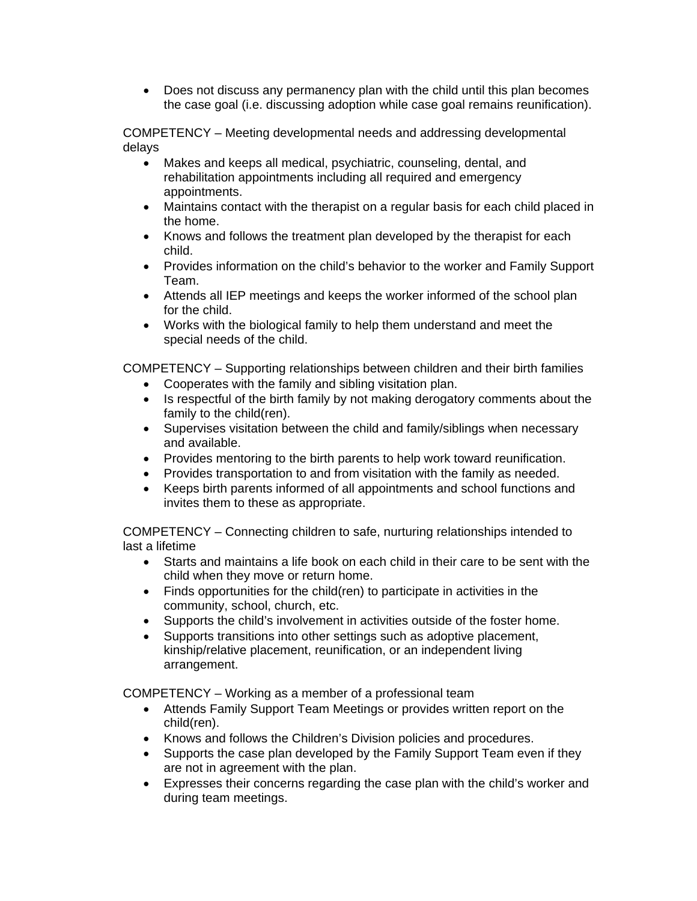• Does not discuss any permanency plan with the child until this plan becomes the case goal (i.e. discussing adoption while case goal remains reunification).

COMPETENCY – Meeting developmental needs and addressing developmental delays

- Makes and keeps all medical, psychiatric, counseling, dental, and rehabilitation appointments including all required and emergency appointments.
- Maintains contact with the therapist on a regular basis for each child placed in the home.
- Knows and follows the treatment plan developed by the therapist for each child.
- Provides information on the child's behavior to the worker and Family Support Team.
- Attends all IEP meetings and keeps the worker informed of the school plan for the child.
- Works with the biological family to help them understand and meet the special needs of the child.

COMPETENCY – Supporting relationships between children and their birth families

- Cooperates with the family and sibling visitation plan.
- Is respectful of the birth family by not making derogatory comments about the family to the child(ren).
- Supervises visitation between the child and family/siblings when necessary and available.
- Provides mentoring to the birth parents to help work toward reunification.
- Provides transportation to and from visitation with the family as needed.
- Keeps birth parents informed of all appointments and school functions and invites them to these as appropriate.

COMPETENCY – Connecting children to safe, nurturing relationships intended to last a lifetime

- Starts and maintains a life book on each child in their care to be sent with the child when they move or return home.
- Finds opportunities for the child(ren) to participate in activities in the community, school, church, etc.
- Supports the child's involvement in activities outside of the foster home.
- Supports transitions into other settings such as adoptive placement, kinship/relative placement, reunification, or an independent living arrangement.

COMPETENCY – Working as a member of a professional team

- Attends Family Support Team Meetings or provides written report on the child(ren).
- Knows and follows the Children's Division policies and procedures.
- Supports the case plan developed by the Family Support Team even if they are not in agreement with the plan.
- Expresses their concerns regarding the case plan with the child's worker and during team meetings.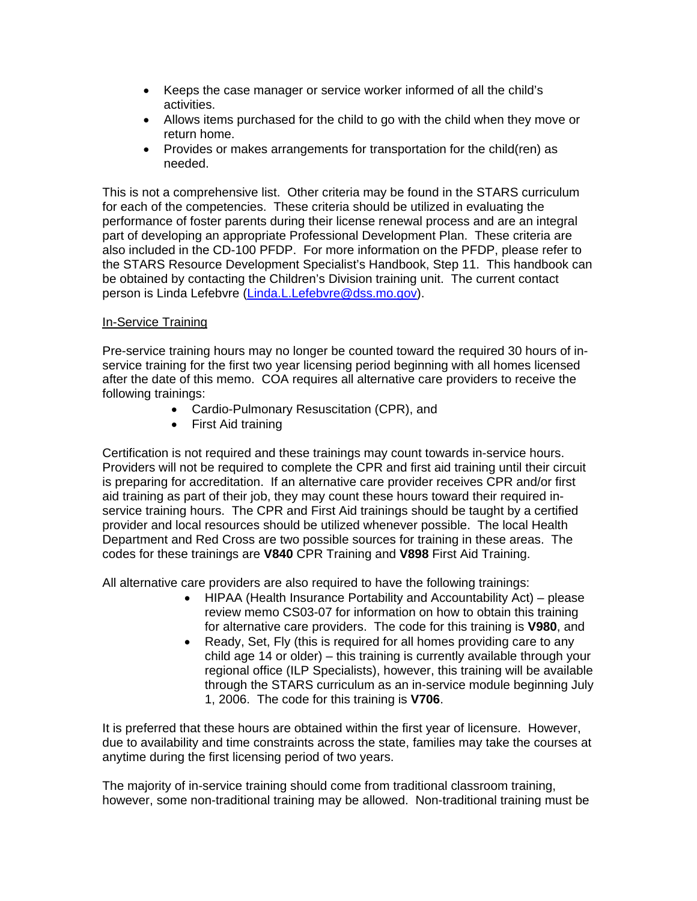- Keeps the case manager or service worker informed of all the child's activities.
- Allows items purchased for the child to go with the child when they move or return home.
- Provides or makes arrangements for transportation for the child(ren) as needed.

This is not a comprehensive list. Other criteria may be found in the STARS curriculum for each of the competencies. These criteria should be utilized in evaluating the performance of foster parents during their license renewal process and are an integral part of developing an appropriate Professional Development Plan. These criteria are also included in the CD-100 PFDP. For more information on the PFDP, please refer to the STARS Resource Development Specialist's Handbook, Step 11. This handbook can be obtained by contacting the Children's Division training unit. The current contact person is Linda Lefebvre [\(Linda.L.Lefebvre@dss.mo.gov](mailto:Linda.L.Lefebvre@dss.mo.gov)).

#### In-Service Training

Pre-service training hours may no longer be counted toward the required 30 hours of inservice training for the first two year licensing period beginning with all homes licensed after the date of this memo. COA requires all alternative care providers to receive the following trainings:

- Cardio-Pulmonary Resuscitation (CPR), and
- First Aid training

Certification is not required and these trainings may count towards in-service hours. Providers will not be required to complete the CPR and first aid training until their circuit is preparing for accreditation. If an alternative care provider receives CPR and/or first aid training as part of their job, they may count these hours toward their required inservice training hours. The CPR and First Aid trainings should be taught by a certified provider and local resources should be utilized whenever possible. The local Health Department and Red Cross are two possible sources for training in these areas. The codes for these trainings are **V840** CPR Training and **V898** First Aid Training.

All alternative care providers are also required to have the following trainings:

- HIPAA (Health Insurance Portability and Accountability Act) please review memo CS03-07 for information on how to obtain this training for alternative care providers. The code for this training is **V980**, and
- Ready, Set, Fly (this is required for all homes providing care to any child age 14 or older) – this training is currently available through your regional office (ILP Specialists), however, this training will be available through the STARS curriculum as an in-service module beginning July 1, 2006. The code for this training is **V706**.

It is preferred that these hours are obtained within the first year of licensure. However, due to availability and time constraints across the state, families may take the courses at anytime during the first licensing period of two years.

The majority of in-service training should come from traditional classroom training, however, some non-traditional training may be allowed. Non-traditional training must be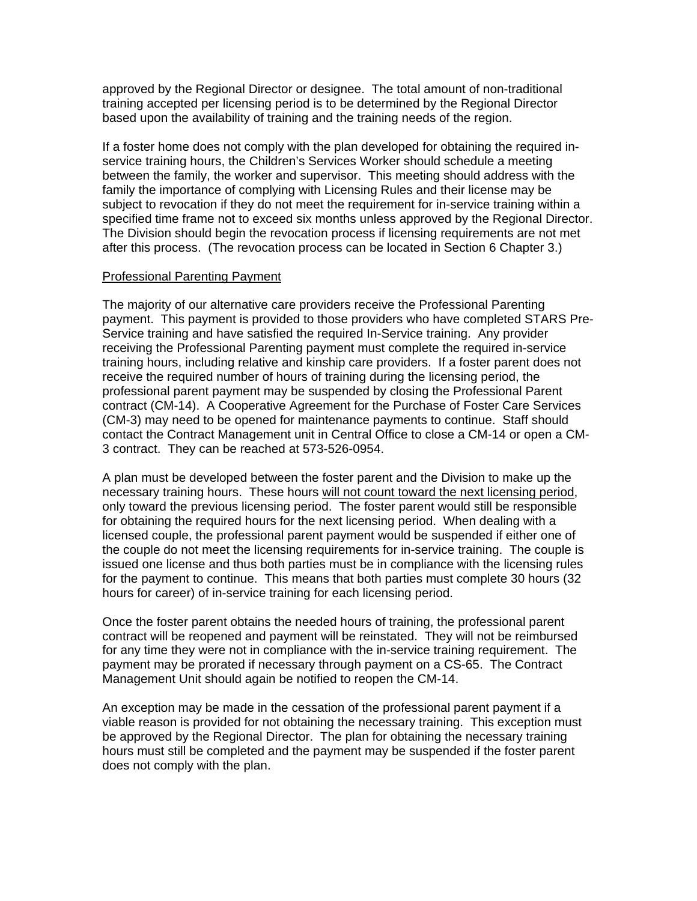approved by the Regional Director or designee. The total amount of non-traditional training accepted per licensing period is to be determined by the Regional Director based upon the availability of training and the training needs of the region.

If a foster home does not comply with the plan developed for obtaining the required inservice training hours, the Children's Services Worker should schedule a meeting between the family, the worker and supervisor. This meeting should address with the family the importance of complying with Licensing Rules and their license may be subject to revocation if they do not meet the requirement for in-service training within a specified time frame not to exceed six months unless approved by the Regional Director. The Division should begin the revocation process if licensing requirements are not met after this process. (The revocation process can be located in Section 6 Chapter 3.)

#### Professional Parenting Payment

The majority of our alternative care providers receive the Professional Parenting payment. This payment is provided to those providers who have completed STARS Pre-Service training and have satisfied the required In-Service training. Any provider receiving the Professional Parenting payment must complete the required in-service training hours, including relative and kinship care providers. If a foster parent does not receive the required number of hours of training during the licensing period, the professional parent payment may be suspended by closing the Professional Parent contract (CM-14). A Cooperative Agreement for the Purchase of Foster Care Services (CM-3) may need to be opened for maintenance payments to continue. Staff should contact the Contract Management unit in Central Office to close a CM-14 or open a CM-3 contract. They can be reached at 573-526-0954.

A plan must be developed between the foster parent and the Division to make up the necessary training hours. These hours will not count toward the next licensing period, only toward the previous licensing period. The foster parent would still be responsible for obtaining the required hours for the next licensing period. When dealing with a licensed couple, the professional parent payment would be suspended if either one of the couple do not meet the licensing requirements for in-service training. The couple is issued one license and thus both parties must be in compliance with the licensing rules for the payment to continue. This means that both parties must complete 30 hours (32 hours for career) of in-service training for each licensing period.

Once the foster parent obtains the needed hours of training, the professional parent contract will be reopened and payment will be reinstated. They will not be reimbursed for any time they were not in compliance with the in-service training requirement. The payment may be prorated if necessary through payment on a CS-65. The Contract Management Unit should again be notified to reopen the CM-14.

An exception may be made in the cessation of the professional parent payment if a viable reason is provided for not obtaining the necessary training. This exception must be approved by the Regional Director. The plan for obtaining the necessary training hours must still be completed and the payment may be suspended if the foster parent does not comply with the plan.